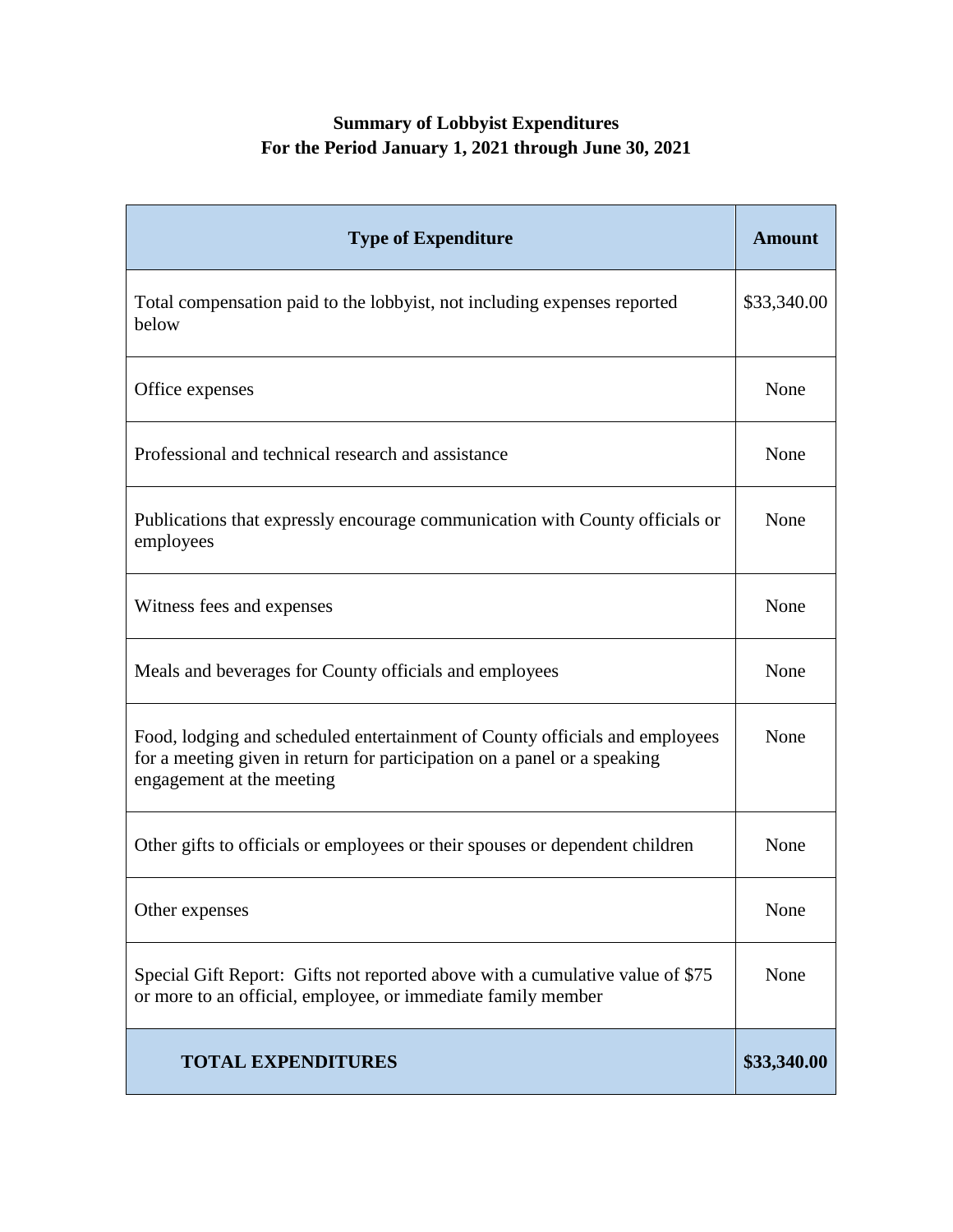## **Summary of Lobbyist Expenditures For the Period January 1, 2021 through June 30, 2021**

| <b>Type of Expenditure</b>                                                                                                                                                           | <b>Amount</b> |
|--------------------------------------------------------------------------------------------------------------------------------------------------------------------------------------|---------------|
| Total compensation paid to the lobbyist, not including expenses reported<br>below                                                                                                    | \$33,340.00   |
| Office expenses                                                                                                                                                                      | None          |
| Professional and technical research and assistance                                                                                                                                   | None          |
| Publications that expressly encourage communication with County officials or<br>employees                                                                                            | None          |
| Witness fees and expenses                                                                                                                                                            | None          |
| Meals and beverages for County officials and employees                                                                                                                               | None          |
| Food, lodging and scheduled entertainment of County officials and employees<br>for a meeting given in return for participation on a panel or a speaking<br>engagement at the meeting | None          |
| Other gifts to officials or employees or their spouses or dependent children                                                                                                         | None          |
| Other expenses                                                                                                                                                                       | None          |
| Special Gift Report: Gifts not reported above with a cumulative value of \$75<br>or more to an official, employee, or immediate family member                                        | None          |
| <b>TOTAL EXPENDITURES</b>                                                                                                                                                            | \$33,340.00   |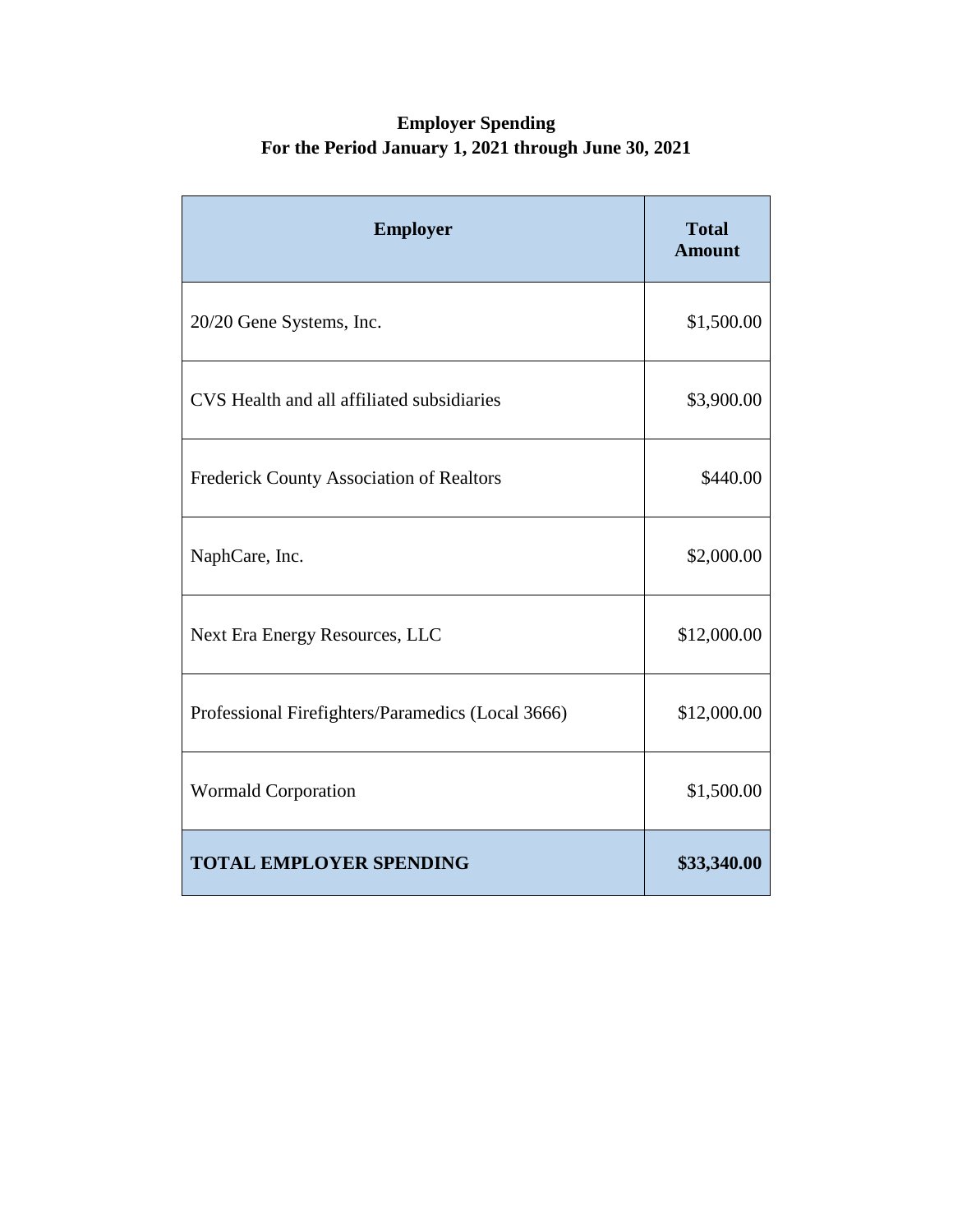## **Employer Spending For the Period January 1, 2021 through June 30, 2021**

| <b>Employer</b>                                   | <b>Total</b><br><b>Amount</b> |
|---------------------------------------------------|-------------------------------|
| 20/20 Gene Systems, Inc.                          | \$1,500.00                    |
| CVS Health and all affiliated subsidiaries        | \$3,900.00                    |
| <b>Frederick County Association of Realtors</b>   | \$440.00                      |
| NaphCare, Inc.                                    | \$2,000.00                    |
| Next Era Energy Resources, LLC                    | \$12,000.00                   |
| Professional Firefighters/Paramedics (Local 3666) | \$12,000.00                   |
| <b>Wormald Corporation</b>                        | \$1,500.00                    |
| <b>TOTAL EMPLOYER SPENDING</b>                    | \$33,340.00                   |